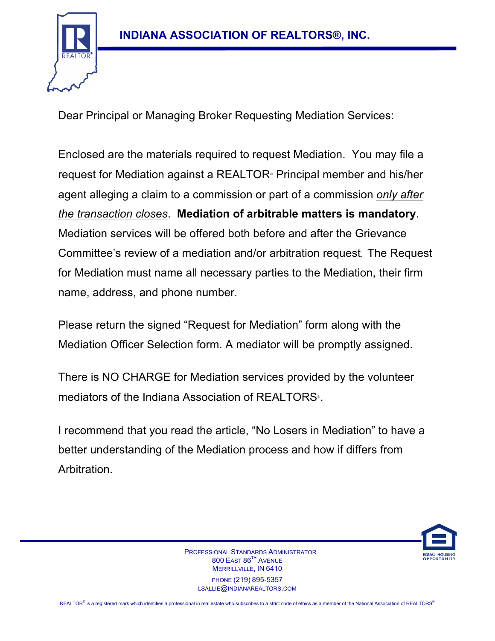

Dear Principal or Managing Broker Requesting Mediation Services:

Enclosed are the materials required to request Mediation. You may file a request for Mediation against a REALTOR® Principal member and his/her agent alleging a claim to a commission or part of a commission *only after the transaction closes*. **Mediation of arbitrable matters is mandatory**. Mediation services will be offered both before and after the Grievance Committee's review of a mediation and/or arbitration request. The Request for Mediation must name all necessary parties to the Mediation, their firm name, address, and phone number.

Please return the signed "Request for Mediation" form along with the Mediation Officer Selection form. A mediator will be promptly assigned.

There is NO CHARGE for Mediation services provided by the volunteer mediators of the Indiana Association of REALTORS<sup>®</sup>.

I recommend that you read the article, "No Losers in Mediation" to have a better understanding of the Mediation process and how if differs from Arbitration.



 PROFESSIONAL STANDARDS ADMINISTRATOR 800 EAST 86<sup>TH</sup> AVENUE MERRILLVILLE, IN 6410 PHONE (219) 895-5357 LSALLIE@INDIANAREALTORS.COM